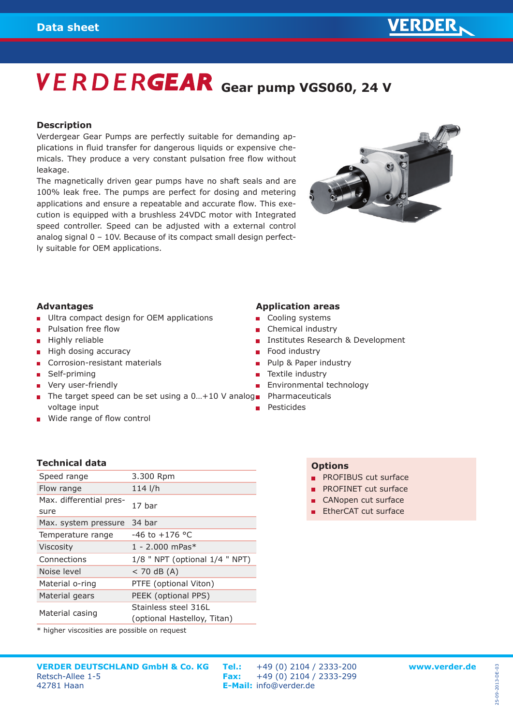# **VERDERGEAR** Gear pump VGS060, 24 V

#### **Description**

Verdergear Gear Pumps are perfectly suitable for demanding applications in fluid transfer for dangerous liquids or expensive chemicals. They produce a very constant pulsation free flow without leakage.

The magnetically driven gear pumps have no shaft seals and are 100% leak free. The pumps are perfect for dosing and metering applications and ensure a repeatable and accurate flow. This execution is equipped with a brushless 24VDC motor with Integrated speed controller. Speed can be adjusted with a external control analog signal 0 – 10V. Because of its compact small design perfectly suitable for OEM applications.



#### **Advantages**

- **Ultra compact design for OEM applications**
- Pulsation free flow  $\blacksquare$
- Highly reliable
- High dosing accuracy
- Corrosion-resistant materials
- Self-priming
- **very user-friendly**
- The target speed can be set using a 0...+10 V analog Pharmaceuticals voltage input
- **Wide range of flow control**

#### **Application areas**

- Cooling systems
- Chemical industry
- Institutes Research & Development
- $\mathbf{r}$ Food industry
- Pulp & Paper industry  $\blacksquare$
- Textile industry
- Environmental technology  $\mathbf{m}$  .
- 
- Pesticides

#### **Technical data**

| Speed range                     | 3.300 Rpm                                           |
|---------------------------------|-----------------------------------------------------|
| Flow range                      | $114$ I/h                                           |
| Max. differential pres-<br>sure | 17 har                                              |
| Max. system pressure            | 34 bar                                              |
| Temperature range               | $-46$ to $+176$ °C                                  |
| <b>Viscosity</b>                | $1 - 2.000$ mPas <sup>*</sup>                       |
| Connections                     | $1/8$ " NPT (optional $1/4$ " NPT)                  |
| Noise level                     | $<$ 70 dB (A)                                       |
| Material o-ring                 | PTFE (optional Viton)                               |
| Material gears                  | PEEK (optional PPS)                                 |
| Material casing                 | Stainless steel 316L<br>(optional Hastelloy, Titan) |
|                                 |                                                     |

\* higher viscosities are possible on request

- **PROFINET cut surface**
- CANopen cut surface
- **EtherCAT cut surface**